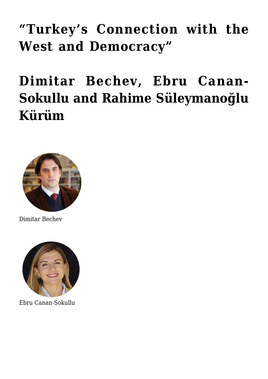## **["Turkey's Connection with the](https://www.uikpanorama.com/blog/2022/04/29/ls-2/) [West and Democracy"](https://www.uikpanorama.com/blog/2022/04/29/ls-2/)**

**[Dimitar Bechev, Ebru Canan-](https://www.uikpanorama.com/blog/2022/04/29/ls-2/)[Sokullu and Rahime Süleymanoğlu](https://www.uikpanorama.com/blog/2022/04/29/ls-2/) [Kürüm](https://www.uikpanorama.com/blog/2022/04/29/ls-2/)**



Dimitar Bechev



Ebru Canan-Sokullu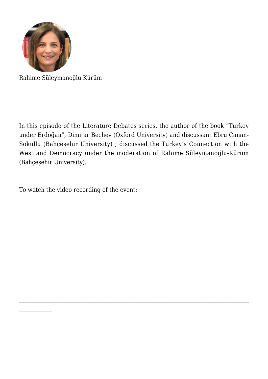

 $\mathcal{L}_\text{max}$ 

Rahime Süleymanoğlu Kürüm

In this episode of the Literature Debates series, the author of the book "Turkey under Erdoğan", Dimitar Bechev (Oxford University) and discussant Ebru Canan-Sokullu (Bahçeşehir University) ; discussed the Turkey's Connection with the West and Democracy under the moderation of Rahime Süleymanoğlu-Kürüm (Bahçeşehir University).

 $\mathcal{L}_\mathcal{L} = \{ \mathcal{L}_\mathcal{L} = \{ \mathcal{L}_\mathcal{L} = \{ \mathcal{L}_\mathcal{L} = \{ \mathcal{L}_\mathcal{L} = \{ \mathcal{L}_\mathcal{L} = \{ \mathcal{L}_\mathcal{L} = \{ \mathcal{L}_\mathcal{L} = \{ \mathcal{L}_\mathcal{L} = \{ \mathcal{L}_\mathcal{L} = \{ \mathcal{L}_\mathcal{L} = \{ \mathcal{L}_\mathcal{L} = \{ \mathcal{L}_\mathcal{L} = \{ \mathcal{L}_\mathcal{L} = \{ \mathcal{L}_\mathcal{$ 

To watch the video recording of the event: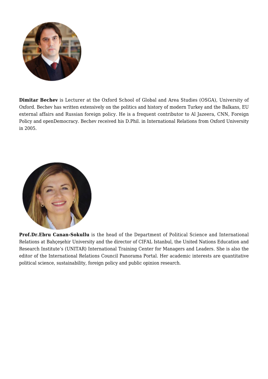

**Dimitar Bechev** is Lecturer at the Oxford School of Global and Area Studies (OSGA), University of Oxford. Bechev has written extensively on the politics and history of modern Turkey and the Balkans, EU external affairs and Russian foreign policy. He is a frequent contributor to Al Jazeera, CNN, Foreign Policy and openDemocracy. Bechev received his D.Phil. in International Relations from Oxford University in 2005.



**Prof.Dr.Ebru Canan-Sokullu** is the head of the Department of Political Science and International Relations at Bahçeşehir University and the director of CIFAL Istanbul, the United Nations Education and Research Institute's (UNITAR) International Training Center for Managers and Leaders. She is also the editor of the International Relations Council Panorama Portal. Her academic interests are quantitative political science, sustainability, foreign policy and public opinion research.